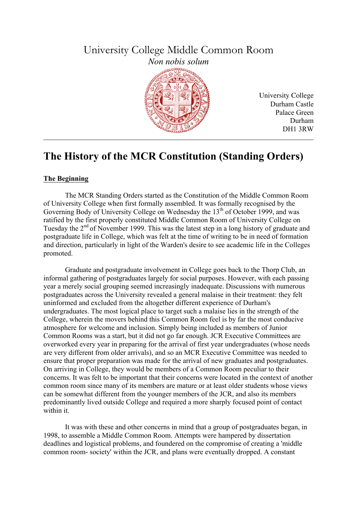# University College Middle Common Room



University College Durham Castle Palace Green Durham DH1 3RW

# **The History of the MCR Constitution (Standing Orders)**

## **The Beginning**

The MCR Standing Orders started as the Constitution of the Middle Common Room of University College when first formally assembled. It was formally recognised by the Governing Body of University College on Wednesday the 13<sup>th</sup> of October 1999, and was ratified by the first properly constituted Middle Common Room of University College on Tuesday the  $2<sup>nd</sup>$  of November 1999. This was the latest step in a long history of graduate and postgraduate life in College, which was felt at the time of writing to be in need of formation and direction, particularly in light of the Warden's desire to see academic life in the Colleges promoted.

Graduate and postgraduate involvement in College goes back to the Thorp Club, an informal gathering of postgraduates largely for social purposes. However, with each passing year a merely social grouping seemed increasingly inadequate. Discussions with numerous postgraduates across the University revealed a general malaise in their treatment: they felt uninformed and excluded from the altogether different experience of Durham's undergraduates. The most logical place to target such a malaise lies in the strength of the College, wherein the movers behind this Common Room feel is by far the most conducive atmosphere for welcome and inclusion. Simply being included as members of Junior Common Rooms was a start, but it did not go far enough. JCR Executive Committees are overworked every year in preparing for the arrival of first year undergraduates (whose needs are very different from older arrivals), and so an MCR Executive Committee was needed to ensure that proper preparation was made for the arrival of new graduates and postgraduates. On arriving in College, they would be members of a Common Room peculiar to their concerns. It was felt to be important that their concerns were located in the context of another common room since many of its members are mature or at least older students whose views can be somewhat different from the younger members of the JCR, and also its members predominantly lived outside College and required a more sharply focused point of contact within it.

It was with these and other concerns in mind that a group of postgraduates began, in 1998, to assemble a Middle Common Room. Attempts were hampered by dissertation deadlines and logistical problems, and foundered on the compromise of creating a 'middle common room- society' within the JCR, and plans were eventually dropped. A constant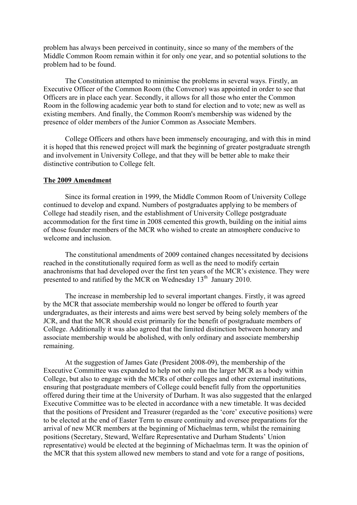problem has always been perceived in continuity, since so many of the members of the Middle Common Room remain within it for only one year, and so potential solutions to the problem had to be found.

The Constitution attempted to minimise the problems in several ways. Firstly, an Executive Officer of the Common Room (the Convenor) was appointed in order to see that Officers are in place each year. Secondly, it allows for all those who enter the Common Room in the following academic year both to stand for election and to vote; new as well as existing members. And finally, the Common Room's membership was widened by the presence of older members of the Junior Common as Associate Members.

College Officers and others have been immensely encouraging, and with this in mind it is hoped that this renewed project will mark the beginning of greater postgraduate strength and involvement in University College, and that they will be better able to make their distinctive contribution to College felt.

#### **The 2009 Amendment**

Since its formal creation in 1999, the Middle Common Room of University College continued to develop and expand. Numbers of postgraduates applying to be members of College had steadily risen, and the establishment of University College postgraduate accommodation for the first time in 2008 cemented this growth, building on the initial aims of those founder members of the MCR who wished to create an atmosphere conducive to welcome and inclusion.

The constitutional amendments of 2009 contained changes necessitated by decisions reached in the constitutionally required form as well as the need to modify certain anachronisms that had developed over the first ten years of the MCR's existence. They were presented to and ratified by the MCR on Wednesday 13<sup>th</sup> January 2010.

The increase in membership led to several important changes. Firstly, it was agreed by the MCR that associate membership would no longer be offered to fourth year undergraduates, as their interests and aims were best served by being solely members of the JCR, and that the MCR should exist primarily for the benefit of postgraduate members of College. Additionally it was also agreed that the limited distinction between honorary and associate membership would be abolished, with only ordinary and associate membership remaining.

At the suggestion of James Gate (President 2008-09), the membership of the Executive Committee was expanded to help not only run the larger MCR as a body within College, but also to engage with the MCRs of other colleges and other external institutions, ensuring that postgraduate members of College could benefit fully from the opportunities offered during their time at the University of Durham. It was also suggested that the enlarged Executive Committee was to be elected in accordance with a new timetable. It was decided that the positions of President and Treasurer (regarded as the 'core' executive positions) were to be elected at the end of Easter Term to ensure continuity and oversee preparations for the arrival of new MCR members at the beginning of Michaelmas term, whilst the remaining positions (Secretary, Steward, Welfare Representative and Durham Students' Union representative) would be elected at the beginning of Michaelmas term. It was the opinion of the MCR that this system allowed new members to stand and vote for a range of positions,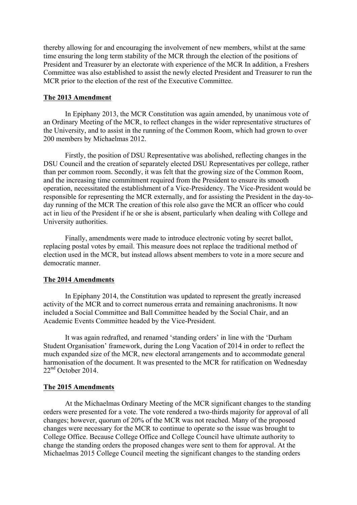thereby allowing for and encouraging the involvement of new members, whilst at the same time ensuring the long term stability of the MCR through the election of the positions of President and Treasurer by an electorate with experience of the MCR In addition, a Freshers Committee was also established to assist the newly elected President and Treasurer to run the MCR prior to the election of the rest of the Executive Committee.

#### **The 2013 Amendment**

In Epiphany 2013, the MCR Constitution was again amended, by unanimous vote of an Ordinary Meeting of the MCR, to reflect changes in the wider representative structures of the University, and to assist in the running of the Common Room, which had grown to over 200 members by Michaelmas 2012.

Firstly, the position of DSU Representative was abolished, reflecting changes in the DSU Council and the creation of separately elected DSU Representatives per college, rather than per common room. Secondly, it was felt that the growing size of the Common Room, and the increasing time commitment required from the President to ensure its smooth operation, necessitated the establishment of a Vice-Presidency. The Vice-President would be responsible for representing the MCR externally, and for assisting the President in the day-today running of the MCR The creation of this role also gave the MCR an officer who could act in lieu of the President if he or she is absent, particularly when dealing with College and University authorities.

Finally, amendments were made to introduce electronic voting by secret ballot, replacing postal votes by email. This measure does not replace the traditional method of election used in the MCR, but instead allows absent members to vote in a more secure and democratic manner.

#### **The 2014 Amendments**

In Epiphany 2014, the Constitution was updated to represent the greatly increased activity of the MCR and to correct numerous errata and remaining anachronisms. It now included a Social Committee and Ball Committee headed by the Social Chair, and an Academic Events Committee headed by the Vice-President.

It was again redrafted, and renamed 'standing orders' in line with the 'Durham Student Organisation' framework, during the Long Vacation of 2014 in order to reflect the much expanded size of the MCR, new electoral arrangements and to accommodate general harmonisation of the document. It was presented to the MCR for ratification on Wednesday  $22<sup>nd</sup>$  October 2014.

#### **The 2015 Amendments**

At the Michaelmas Ordinary Meeting of the MCR significant changes to the standing orders were presented for a vote. The vote rendered a two-thirds majority for approval of all changes; however, quorum of 20% of the MCR was not reached. Many of the proposed changes were necessary for the MCR to continue to operate so the issue was brought to College Office. Because College Office and College Council have ultimate authority to change the standing orders the proposed changes were sent to them for approval. At the Michaelmas 2015 College Council meeting the significant changes to the standing orders